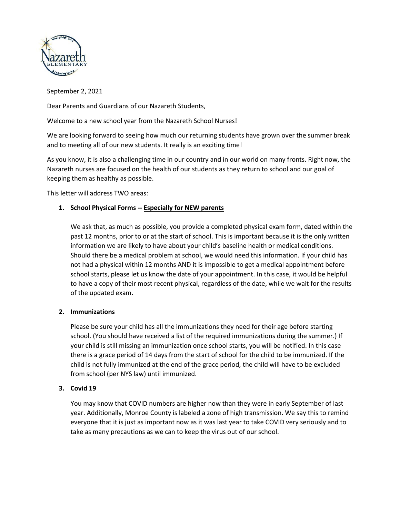

September 2, 2021

Dear Parents and Guardians of our Nazareth Students,

Welcome to a new school year from the Nazareth School Nurses!

We are looking forward to seeing how much our returning students have grown over the summer break and to meeting all of our new students. It really is an exciting time!

As you know, it is also a challenging time in our country and in our world on many fronts. Right now, the Nazareth nurses are focused on the health of our students as they return to school and our goal of keeping them as healthy as possible.

This letter will address TWO areas:

## **1. School Physical Forms -- Especially for NEW parents**

We ask that, as much as possible, you provide a completed physical exam form, dated within the past 12 months, prior to or at the start of school. This is important because it is the only written information we are likely to have about your child's baseline health or medical conditions. Should there be a medical problem at school, we would need this information. If your child has not had a physical within 12 months AND it is impossible to get a medical appointment before school starts, please let us know the date of your appointment. In this case, it would be helpful to have a copy of their most recent physical, regardless of the date, while we wait for the results of the updated exam.

## **2. Immunizations**

Please be sure your child has all the immunizations they need for their age before starting school. (You should have received a list of the required immunizations during the summer.) If your child is still missing an immunization once school starts, you will be notified. In this case there is a grace period of 14 days from the start of school for the child to be immunized. If the child is not fully immunized at the end of the grace period, the child will have to be excluded from school (per NYS law) until immunized.

## **3. Covid 19**

You may know that COVID numbers are higher now than they were in early September of last year. Additionally, Monroe County is labeled a zone of high transmission. We say this to remind everyone that it is just as important now as it was last year to take COVID very seriously and to take as many precautions as we can to keep the virus out of our school.